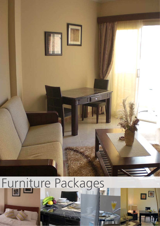

O

# Furniture Packages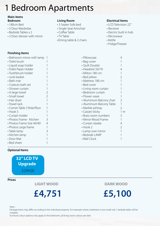### 1 Bedroom Apartments

#### **Bedroom Main items**

- 180cm Bed
- 3 Door Wardrobe
- Bedside Tables x 2

**Finishing Items**

• 3 Door dresser with mirror

#### **Living Room**

- 3 Seater Sofa bed
- Single Seat Armchair
- Coffee Table
- TV Table
- •Dining table & 2 chairs

#### **Electrical Items**

- LCD Television 22"
- Receiver
- Electric built in hob
- Microwave
- Kettle
- Fridge/Freezer

| • Bathroom mirror with lamp |   | • Pillowcase              | 4   |
|-----------------------------|---|---------------------------|-----|
| • Toilet brush              |   | • Bag cover               |     |
| • Liquid soap holder        |   | • Quilt Double            |     |
| • Toilet Paper Holder       |   | • Headrest 50/70          | 4   |
| • Toothbrush holder         |   | • Milton 180 cm           |     |
| • Junk basket               |   | • Bed pillow              |     |
| • Bath mat                  |   | • Mattress 180 cm         |     |
| • 3 pieces bath set         |   | • Bed cover               |     |
| • Shower curtain            |   | • Living room curtain     |     |
| • A large towel             | 2 | • Bedroom curtain         |     |
| • Small towel               |   | • Flower vases            |     |
| • Hair dryer                |   | • Aluminium Balcony chair | 2   |
| • Towel rack                |   | • Aluminium Balcony Table |     |
| • Corner Table 3 Role/floor |   | • Marble ashtray          | 2   |
| $\cdot$ Hook 3              |   | • Carpet Sticky           | 1 m |
| • Curtain holder            |   | • Brass room numbers      | 3   |
| • Photos Frame - Kitchen    | 3 | • Mirror Wood Frame       |     |
| • Photos Frame Size 40/40   | 4 | • Curtain steake          | 4   |
| • Photos Large frame        |   | $\cdot$ Hook 2            | 2   |
| • Table lamp                | 3 | • Lamp over mirror        |     |
| • Kitchen lamp              |   | • Bedside LAMP            |     |
| • Door Mat                  |   | • Wall Clock              |     |
| • Bed sheet                 |   |                           |     |

#### **Optional Items**



**LIGHT WOOD**



**DARK WOOD**

### **£5,100**

Note -

**Prices**

Package items may differ according to the individual property. For example where a bedroom is too small only 1 bedside table will be installed.

Furniture colour options only apply to the bedrooms, all living room colours are dark.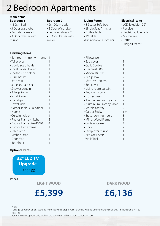# 2 Bedroom Apartments

#### **Bedroom 1 Main items**

#### • 180cm Bed

- 3 Door Wardrobe
- Bedside Tables x 2
- 3 Door dresser with

mirror

#### **Finishing Items**

### **Bedroom 2**

- 2x 120cm beds
- 3 Door Wardrobe
- Bedside Tables x 2
- 3 Door dresser with mirror

#### **Living Room**

- 3 Seater Sofa bed
- Single Seat Armchair
- Coffee Table
- TV Table
- •Dining table & 2 chairs

#### **Electrical Items**

- LCD Television 22"
- Receiver
- Electric built in hob
- Microwave
- Kettle
- Fridge/Freezer

| • Bathroom mirror with lamp |                | • Pillowcase              | 4              |
|-----------------------------|----------------|---------------------------|----------------|
| • Toilet brush              |                | • Bag cover               |                |
| • Liquid soap holder        | • Quilt Double |                           |                |
| • Toilet Paper Holder       |                | • Headrest 50/70          |                |
| • Toothbrush holder         |                | • Milton 180 cm           |                |
| • Junk basket               |                | • Bed pillow              |                |
| • Bath mat                  |                | • Mattress 180 cm         |                |
| • 3 pieces bath set         |                | • Bed cover               |                |
| • Shower curtain            |                | • Living room curtain     |                |
| • A large towel             |                | • Bedroom curtain         |                |
| • Small towel               |                | • Flower vases            |                |
| • Hair dryer                |                | • Aluminium Balcony chair | 2              |
| • Towel rack                |                | • Aluminium Balcony Table |                |
| • Corner Table 3 Role/floor |                | • Marble ashtray          | $\overline{2}$ |
| $\cdot$ Hook 3              |                | • Carpet Sticky           | 1 m            |
| • Curtain holder            |                | • Brass room numbers      | 3              |
| • Photos Frame - Kitchen    | 3              | • Mirror Wood Frame       |                |
| • Photos Frame Size 40/40   | 4              | • Curtain steake          | 4              |
| • Photos Large frame        |                | $\cdot$ Hook 2            |                |
| · Table lamp                | 3              | • Lamp over mirror        |                |
| • Kitchen lamp              |                | • Bedside LAMP            |                |
| • Door Mat                  |                | • Wall Clock              |                |
| • Bed sheet                 |                |                           |                |

#### **Optional Items**



**Prices**

**LIGHT WOOD**

### **£5,399**

**DARK WOOD**

### **£6,136**

Note -

Package items may differ according to the individual property. For example where a bedroom is too small only 1 bedside table will be installed.

Furniture colour options only apply to the bedrooms, all living room colours are dark.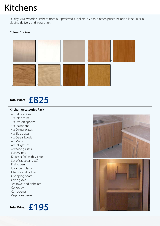# Kitchens

Quality MDF wooden kitchens from our preferred suppliers in Cairo. Kitchen prices include all the units including delivery and installation

#### **Colour Choices**



### **Total Price: £825**

#### **Kitchen Accessories Pack**

- 4 x Table knives
- 4 x Table forks
- 4 x Dessert spoons
- 4 x Teaspoons
- 4 x Dinner plates
- 4 x Side plates
- 4 x Cereal bowls
- 4 x Mugs
- 4 x Tall glasses
- 4 x Wine glasses
- Cutlery tray
- Knife set (x6) with scissors
- Set of saucepans (x2)
- Frying pan
- Colander (plastic)
- Utensils and holder
- Chopping board
- Oven glove
- Tea towel and dishcloth
- Corkscrew
- Can opener
- Vegetable peeler

### **Total Price: £195**